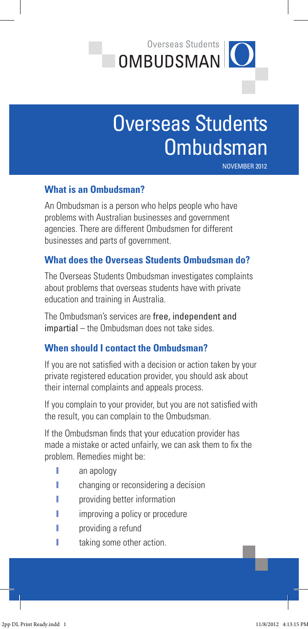

# Overseas Students **Ombudsman**

November 2012

### **What is an Ombudsman?**

An Ombudsman is a person who helps people who have problems with Australian businesses and government agencies. There are different Ombudsmen for different businesses and parts of government.

#### **What does the Overseas Students Ombudsman do?**

The Overseas Students Ombudsman investigates complaints about problems that overseas students have with private education and training in Australia.

The Ombudsman's services are free, independent and impartial – the Ombudsman does not take sides.

#### **When should I contact the Ombudsman?**

If you are not satisfied with a decision or action taken by your private registered education provider, you should ask about their internal complaints and appeals process.

If you complain to your provider, but you are not satisfied with the result, you can complain to the Ombudsman.

If the Ombudsman finds that your education provider has made a mistake or acted unfairly, we can ask them to fix the problem. Remedies might be:

- **I** an apology
- **I** changing or reconsidering a decision
- providing better information
- **I** improving a policy or procedure
- **I** providing a refund
- **I** taking some other action.